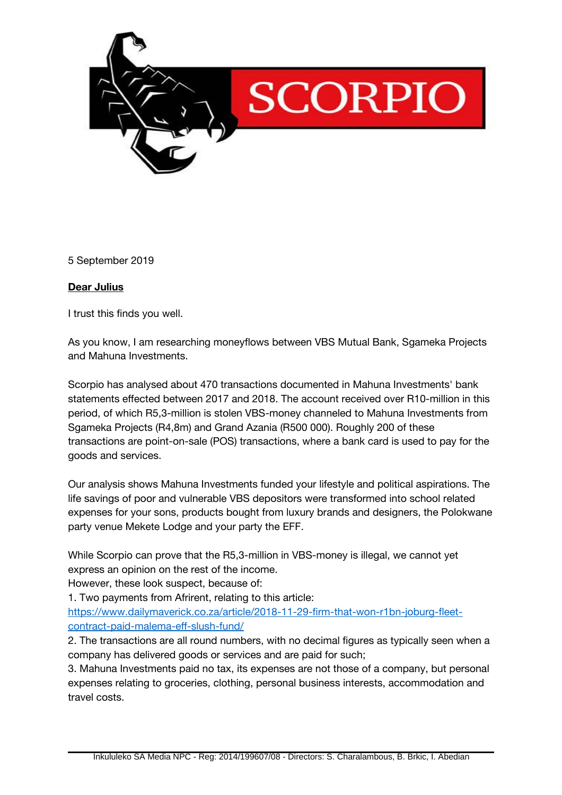

5 September 2019

## **Dear Julius**

I trust this finds you well.

As you know, I am researching moneyflows between VBS Mutual Bank, Sgameka Projects and Mahuna Investments.

Scorpio has analysed about 470 transactions documented in Mahuna Investments' bank statements efected between 2017 and 2018. The account received over R10-million in this period, of which R5,3-million is stolen VBS-money channeled to Mahuna Investments from Sgameka Projects (R4,8m) and Grand Azania (R500 000). Roughly 200 of these transactions are point-on-sale (POS) transactions, where a bank card is used to pay for the goods and services.

Our analysis shows Mahuna Investments funded your lifestyle and political aspirations. The life savings of poor and vulnerable VBS depositors were transformed into school related expenses for your sons, products bought from luxury brands and designers, the Polokwane party venue Mekete Lodge and your party the EFF.

While Scorpio can prove that the R5,3-million in VBS-money is illegal, we cannot yet express an opinion on the rest of the income.

However, these look suspect, because of:

1. Two payments from Afrirent, relating to this article:

[https://www.dailymaverick.co.za/article/2018-11-29-frm-that-won-r1bn-joburg-feet](https://www.dailymaverick.co.za/article/2018-11-29-firm-that-won-r1bn-joburg-fleet-contract-paid-malema-eff-slush-fund/)[contract-paid-malema-ef-slush-fund/](https://www.dailymaverick.co.za/article/2018-11-29-firm-that-won-r1bn-joburg-fleet-contract-paid-malema-eff-slush-fund/)

2. The transactions are all round numbers, with no decimal fgures as typically seen when a company has delivered goods or services and are paid for such;

3. Mahuna Investments paid no tax, its expenses are not those of a company, but personal expenses relating to groceries, clothing, personal business interests, accommodation and travel costs.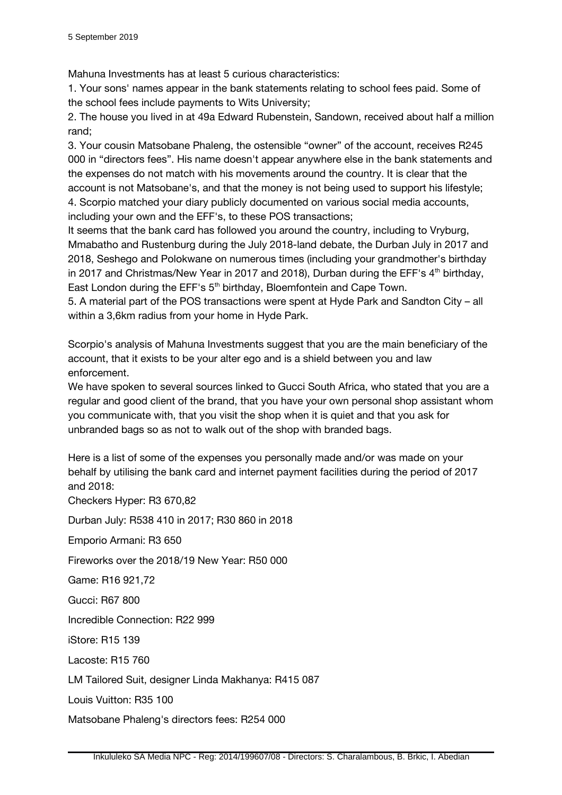Mahuna Investments has at least 5 curious characteristics:

1. Your sons' names appear in the bank statements relating to school fees paid. Some of the school fees include payments to Wits University;

2. The house you lived in at 49a Edward Rubenstein, Sandown, received about half a million rand;

3. Your cousin Matsobane Phaleng, the ostensible "owner" of the account, receives R245 000 in "directors fees". His name doesn't appear anywhere else in the bank statements and the expenses do not match with his movements around the country. It is clear that the account is not Matsobane's, and that the money is not being used to support his lifestyle; 4. Scorpio matched your diary publicly documented on various social media accounts, including your own and the EFF's, to these POS transactions;

It seems that the bank card has followed you around the country, including to Vryburg, Mmabatho and Rustenburg during the July 2018-land debate, the Durban July in 2017 and 2018, Seshego and Polokwane on numerous times (including your grandmother's birthday in 2017 and Christmas/New Year in 2017 and 2018), Durban during the EFF's  $4<sup>th</sup>$  birthday, East London during the EFF's  $5<sup>th</sup>$  birthday, Bloemfontein and Cape Town.

5. A material part of the POS transactions were spent at Hyde Park and Sandton City – all within a 3,6km radius from your home in Hyde Park.

Scorpio's analysis of Mahuna Investments suggest that you are the main beneficiary of the account, that it exists to be your alter ego and is a shield between you and law enforcement.

We have spoken to several sources linked to Gucci South Africa, who stated that you are a regular and good client of the brand, that you have your own personal shop assistant whom you communicate with, that you visit the shop when it is quiet and that you ask for unbranded bags so as not to walk out of the shop with branded bags.

Here is a list of some of the expenses you personally made and/or was made on your behalf by utilising the bank card and internet payment facilities during the period of 2017 and 2018:

Checkers Hyper: R3 670,82 Durban July: R538 410 in 2017; R30 860 in 2018 Emporio Armani: R3 650 Fireworks over the 2018/19 New Year: R50 000 Game: R16 921,72 Gucci: R67 800 Incredible Connection: R22 999 iStore: R15 139 Lacoste: R15 760 LM Tailored Suit, designer Linda Makhanya: R415 087 Louis Vuitton: R35 100

Matsobane Phaleng's directors fees: R254 000